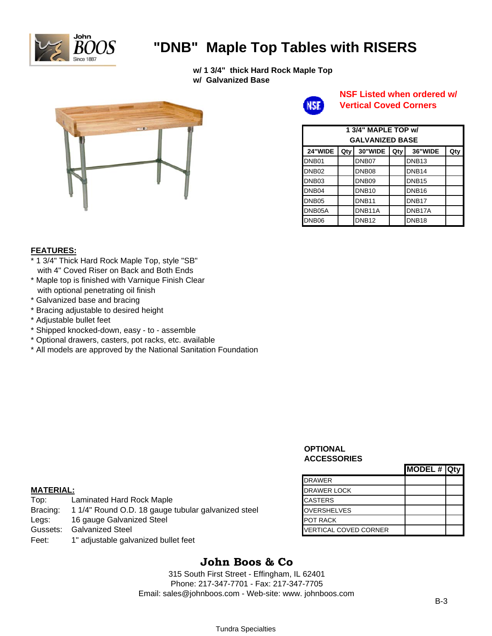

# **"DNB" Maple Top Tables with RISERS**

**w/ 1 3/4" thick Hard Rock Maple Top w/ Galvanized Base**





### **NSF Listed when ordered w/ Vertical Coved Corners**

| 1 3/4" MAPLE TOP w/<br><b>GALVANIZED BASE</b> |     |                   |     |                   |     |  |  |
|-----------------------------------------------|-----|-------------------|-----|-------------------|-----|--|--|
| 24"WIDE                                       | Qty | 30"WIDE           | Qty | 36"WIDE           | Qty |  |  |
| DNB <sub>01</sub>                             |     | DNB07             |     | DNB <sub>13</sub> |     |  |  |
| DNB <sub>02</sub>                             |     | DNB <sub>08</sub> |     | DNB <sub>14</sub> |     |  |  |
| DNB <sub>03</sub>                             |     | DNB <sub>09</sub> |     | DNB <sub>15</sub> |     |  |  |
| DNB <sub>04</sub>                             |     | DNB <sub>10</sub> |     | DNB <sub>16</sub> |     |  |  |
| DNB <sub>05</sub>                             |     | DNB <sub>11</sub> |     | DNB <sub>17</sub> |     |  |  |
| DNB05A                                        |     | DNB11A            |     | DNB17A            |     |  |  |
| DNB <sub>06</sub>                             |     | DNB <sub>12</sub> |     | DNB <sub>18</sub> |     |  |  |

#### **FEATURES:**

- \* 1 3/4" Thick Hard Rock Maple Top, style "SB" with 4" Coved Riser on Back and Both Ends
- \* Maple top is finished with Varnique Finish Clear with optional penetrating oil finish
- \* Galvanized base and bracing
- \* Bracing adjustable to desired height
- \* Adjustable bullet feet
- \* Shipped knocked-down, easy to assemble
- \* Optional drawers, casters, pot racks, etc. available
- \* All models are approved by the National Sanitation Foundation

#### **OPTIONAL ACCESSORIES**

|                              | MODEL # Qty |  |
|------------------------------|-------------|--|
| <b>DRAWER</b>                |             |  |
| <b>DRAWER LOCK</b>           |             |  |
| <b>CASTERS</b>               |             |  |
| <b>OVERSHELVES</b>           |             |  |
| <b>POT RACK</b>              |             |  |
| <b>VERTICAL COVED CORNER</b> |             |  |

#### **MATERIAL:**

| Top:     | Laminated Hard Rock Maple                           | <b>CASTERS</b>        |
|----------|-----------------------------------------------------|-----------------------|
| Bracing: | 1 1/4" Round O.D. 18 gauge tubular galvanized steel | <b>OVERSHELVES</b>    |
| Legs:    | 16 gauge Galvanized Steel                           | <b>POT RACK</b>       |
| Gussets: | <b>Galvanized Steel</b>                             | VERTICAL COVED CORNER |
| Feet:    | 1" adjustable galvanized bullet feet                |                       |

# **John Boos & Co**

315 South First Street - Effingham, IL 62401 Phone: 217-347-7701 - Fax: 217-347-7705 Email: sales@johnboos.com - Web-site: www. johnboos.com